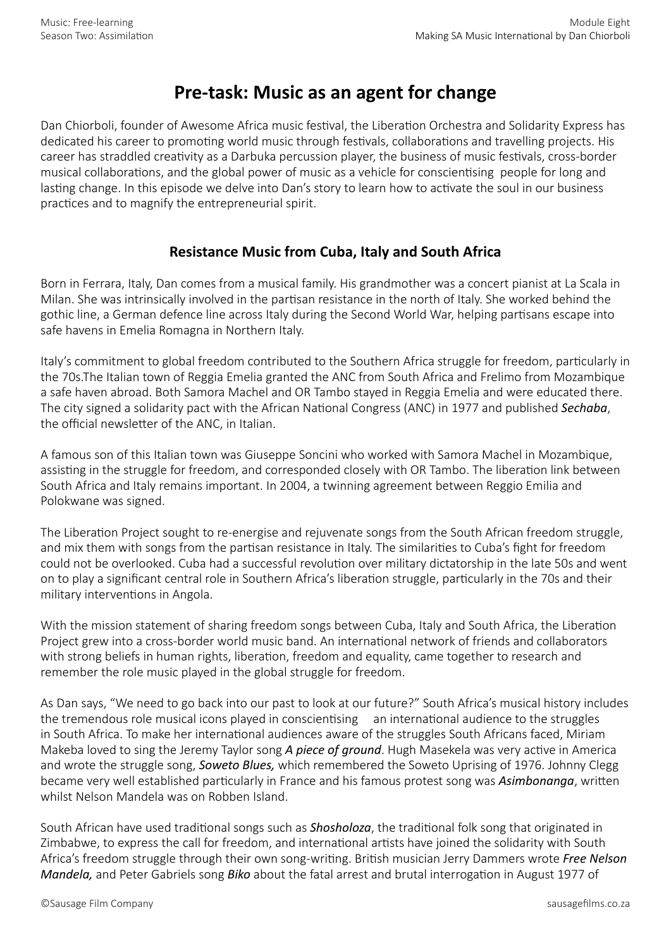## **Pre-task: Music as an agent for change**

Dan Chiorboli, founder of Awesome Africa music festival, the Liberation Orchestra and Solidarity Express has dedicated his career to promoting world music through festivals, collaborations and travelling projects. His career has straddled creativity as a Darbuka percussion player, the business of music festivals, cross-border musical collaborations, and the global power of music as a vehicle for conscientising people for long and lasting change. In this episode we delve into Dan's story to learn how to activate the soul in our business practices and to magnify the entrepreneurial spirit.

## **Resistance Music from Cuba, Italy and South Africa**

Born in Ferrara, Italy, Dan comes from a musical family. His grandmother was a concert pianist at La Scala in Milan. She was intrinsically involved in the partisan resistance in the north of Italy. She worked behind the gothic line, a German defence line across Italy during the Second World War, helping partisans escape into safe havens in Emelia Romagna in Northern Italy.

Italy's commitment to global freedom contributed to the Southern Africa struggle for freedom, particularly in the 70s.The Italian town of Reggia Emelia granted the ANC from South Africa and Frelimo from Mozambique a safe haven abroad. Both Samora Machel and OR Tambo stayed in Reggia Emelia and were educated there. The city signed a solidarity pact with the African National Congress (ANC) in 1977 and published *Sechaba*, the official newsletter of the ANC, in Italian.

A famous son of this Italian town was Giuseppe Soncini who worked with Samora Machel in Mozambique, assisting in the struggle for freedom, and corresponded closely with OR Tambo. The liberation link between South Africa and Italy remains important. In 2004, a twinning agreement between Reggio Emilia and Polokwane was signed.

The Liberation Project sought to re-energise and rejuvenate songs from the South African freedom struggle, and mix them with songs from the partisan resistance in Italy. The similarities to Cuba's fight for freedom could not be overlooked. Cuba had a successful revolution over military dictatorship in the late 50s and went on to play a significant central role in Southern Africa's liberation struggle, particularly in the 70s and their military interventions in Angola.

With the mission statement of sharing freedom songs between Cuba, Italy and South Africa, the Liberation Project grew into a cross-border world music band. An international network of friends and collaborators with strong beliefs in human rights, liberation, freedom and equality, came together to research and remember the role music played in the global struggle for freedom.

As Dan says, "We need to go back into our past to look at our future?" South Africa's musical history includes the tremendous role musical icons played in conscientising an international audience to the struggles in South Africa. To make her international audiences aware of the struggles South Africans faced, Miriam Makeba loved to sing the Jeremy Taylor song *A piece of ground*. Hugh Masekela was very active in America and wrote the struggle song, *Soweto Blues,* which remembered the Soweto Uprising of 1976. Johnny Clegg became very well established particularly in France and his famous protest song was *Asimbonanga*, written whilst Nelson Mandela was on Robben Island.

South African have used traditional songs such as *Shosholoza*, the traditional folk song that originated in Zimbabwe, to express the call for freedom, and international artists have joined the solidarity with South Africa's freedom struggle through their own song-writing. British musician Jerry Dammers wrote *Free Nelson Mandela,* and Peter Gabriels song *Biko* about the fatal arrest and brutal interrogation in August 1977 of